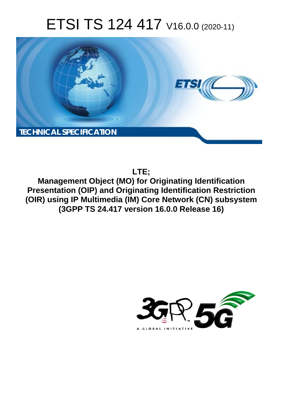# ETSI TS 124 417 V16.0.0 (2020-11)



**LTE;**

**Management Object (MO) for Originating Identification Presentation (OIP) and Originating Identification Restriction (OIR) using IP Multimedia (IM) Core Network (CN) subsystem (3GPP TS 24.417 version 16.0.0 Release 16)** 

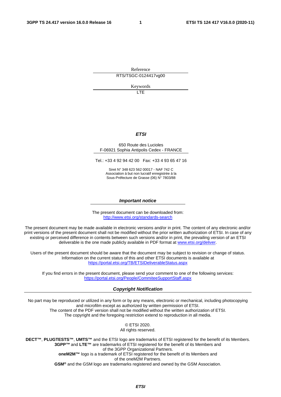Reference

RTS/TSGC-0124417vg00

Keywords

LTE

#### *ETSI*

#### 650 Route des Lucioles F-06921 Sophia Antipolis Cedex - FRANCE

Tel.: +33 4 92 94 42 00 Fax: +33 4 93 65 47 16

Siret N° 348 623 562 00017 - NAF 742 C Association à but non lucratif enregistrée à la Sous-Préfecture de Grasse (06) N° 7803/88

#### *Important notice*

The present document can be downloaded from: <http://www.etsi.org/standards-search>

The present document may be made available in electronic versions and/or in print. The content of any electronic and/or print versions of the present document shall not be modified without the prior written authorization of ETSI. In case of any existing or perceived difference in contents between such versions and/or in print, the prevailing version of an ETSI deliverable is the one made publicly available in PDF format at [www.etsi.org/deliver](http://www.etsi.org/deliver).

Users of the present document should be aware that the document may be subject to revision or change of status. Information on the current status of this and other ETSI documents is available at <https://portal.etsi.org/TB/ETSIDeliverableStatus.aspx>

If you find errors in the present document, please send your comment to one of the following services: <https://portal.etsi.org/People/CommiteeSupportStaff.aspx>

#### *Copyright Notification*

No part may be reproduced or utilized in any form or by any means, electronic or mechanical, including photocopying and microfilm except as authorized by written permission of ETSI. The content of the PDF version shall not be modified without the written authorization of ETSI. The copyright and the foregoing restriction extend to reproduction in all media.

> © ETSI 2020. All rights reserved.

**DECT™**, **PLUGTESTS™**, **UMTS™** and the ETSI logo are trademarks of ETSI registered for the benefit of its Members. **3GPP™** and **LTE™** are trademarks of ETSI registered for the benefit of its Members and of the 3GPP Organizational Partners. **oneM2M™** logo is a trademark of ETSI registered for the benefit of its Members and of the oneM2M Partners. **GSM®** and the GSM logo are trademarks registered and owned by the GSM Association.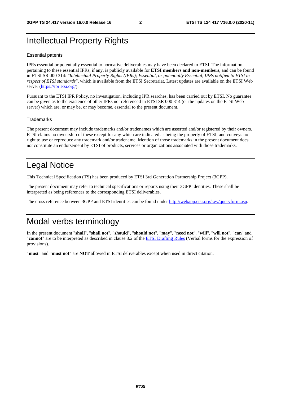### Intellectual Property Rights

#### Essential patents

IPRs essential or potentially essential to normative deliverables may have been declared to ETSI. The information pertaining to these essential IPRs, if any, is publicly available for **ETSI members and non-members**, and can be found in ETSI SR 000 314: *"Intellectual Property Rights (IPRs); Essential, or potentially Essential, IPRs notified to ETSI in respect of ETSI standards"*, which is available from the ETSI Secretariat. Latest updates are available on the ETSI Web server [\(https://ipr.etsi.org/](https://ipr.etsi.org/)).

Pursuant to the ETSI IPR Policy, no investigation, including IPR searches, has been carried out by ETSI. No guarantee can be given as to the existence of other IPRs not referenced in ETSI SR 000 314 (or the updates on the ETSI Web server) which are, or may be, or may become, essential to the present document.

#### **Trademarks**

The present document may include trademarks and/or tradenames which are asserted and/or registered by their owners. ETSI claims no ownership of these except for any which are indicated as being the property of ETSI, and conveys no right to use or reproduce any trademark and/or tradename. Mention of those trademarks in the present document does not constitute an endorsement by ETSI of products, services or organizations associated with those trademarks.

### Legal Notice

This Technical Specification (TS) has been produced by ETSI 3rd Generation Partnership Project (3GPP).

The present document may refer to technical specifications or reports using their 3GPP identities. These shall be interpreted as being references to the corresponding ETSI deliverables.

The cross reference between 3GPP and ETSI identities can be found under<http://webapp.etsi.org/key/queryform.asp>.

#### Modal verbs terminology

In the present document "**shall**", "**shall not**", "**should**", "**should not**", "**may**", "**need not**", "**will**", "**will not**", "**can**" and "**cannot**" are to be interpreted as described in clause 3.2 of the [ETSI Drafting Rules](https://portal.etsi.org/Services/editHelp!/Howtostart/ETSIDraftingRules.aspx) (Verbal forms for the expression of provisions).

"**must**" and "**must not**" are **NOT** allowed in ETSI deliverables except when used in direct citation.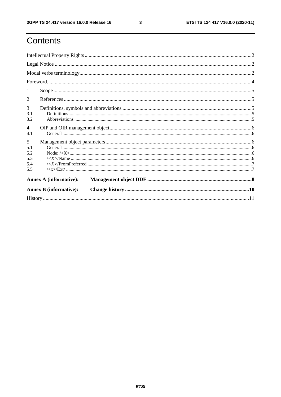$\mathbf{3}$ 

# Contents

|                       | <b>Annex B</b> (informative): |                                                                                                                                                                                                                                                                                                                                                                                           |  |  |  |  |  |
|-----------------------|-------------------------------|-------------------------------------------------------------------------------------------------------------------------------------------------------------------------------------------------------------------------------------------------------------------------------------------------------------------------------------------------------------------------------------------|--|--|--|--|--|
|                       | <b>Annex A (informative):</b> |                                                                                                                                                                                                                                                                                                                                                                                           |  |  |  |  |  |
| 5.5                   |                               |                                                                                                                                                                                                                                                                                                                                                                                           |  |  |  |  |  |
| 5.4                   |                               |                                                                                                                                                                                                                                                                                                                                                                                           |  |  |  |  |  |
| 5.3                   |                               |                                                                                                                                                                                                                                                                                                                                                                                           |  |  |  |  |  |
| 5.2                   |                               | $Node: \langle < X \rangle 1, \ldots 1, \ldots 1, \ldots 1, \ldots 1, \ldots 1, \ldots 1, \ldots 1, \ldots 1, \ldots 1, \ldots 1, \ldots 1, \ldots 1, \ldots 1, \ldots 1, \ldots 1, \ldots 1, \ldots 1, \ldots 1, \ldots 1, \ldots 1, \ldots 1, \ldots 1, \ldots 1, \ldots 1, \ldots 1, \ldots 1, \ldots 1, \ldots 1, \ldots 1, \ldots 1, \ldots 1, \ldots 1, \ldots 1, \ldots 1, \ldots$ |  |  |  |  |  |
| 5<br>5.1              |                               |                                                                                                                                                                                                                                                                                                                                                                                           |  |  |  |  |  |
| $\overline{4}$<br>4.1 |                               |                                                                                                                                                                                                                                                                                                                                                                                           |  |  |  |  |  |
| 3.1<br>3.2            |                               |                                                                                                                                                                                                                                                                                                                                                                                           |  |  |  |  |  |
| 3                     |                               |                                                                                                                                                                                                                                                                                                                                                                                           |  |  |  |  |  |
| 2                     |                               |                                                                                                                                                                                                                                                                                                                                                                                           |  |  |  |  |  |
| $\perp$               |                               |                                                                                                                                                                                                                                                                                                                                                                                           |  |  |  |  |  |
|                       |                               |                                                                                                                                                                                                                                                                                                                                                                                           |  |  |  |  |  |
|                       |                               |                                                                                                                                                                                                                                                                                                                                                                                           |  |  |  |  |  |
|                       |                               |                                                                                                                                                                                                                                                                                                                                                                                           |  |  |  |  |  |
|                       |                               |                                                                                                                                                                                                                                                                                                                                                                                           |  |  |  |  |  |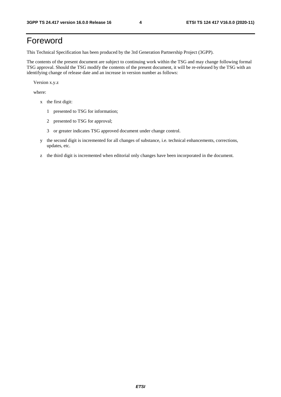# Foreword

This Technical Specification has been produced by the 3rd Generation Partnership Project (3GPP).

The contents of the present document are subject to continuing work within the TSG and may change following formal TSG approval. Should the TSG modify the contents of the present document, it will be re-released by the TSG with an identifying change of release date and an increase in version number as follows:

Version x.y.z

where:

- x the first digit:
	- 1 presented to TSG for information;
	- 2 presented to TSG for approval;
	- 3 or greater indicates TSG approved document under change control.
- y the second digit is incremented for all changes of substance, i.e. technical enhancements, corrections, updates, etc.
- z the third digit is incremented when editorial only changes have been incorporated in the document.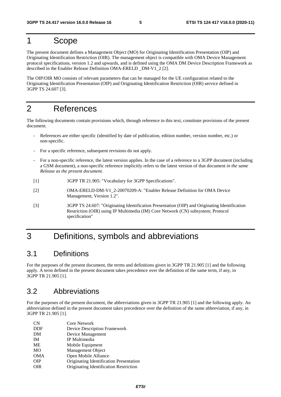### 1 Scope

The present document defines a Management Object (MO) for Originating Identification Presentation (OIP) and Originating Identification Restriction (OIR). The management object is compatible with OMA Device Management protocol specifications, version 1.2 and upwards, and is defined using the OMA DM Device Description Framework as described in the Enabler Release Definition OMA-ERELD \_DM-V1\_2 [2].

The OIP/OIR MO consists of relevant parameters that can be managed for the UE configuration related to the Originating Identification Presentation (OIP) and Originating Identification Restriction (OIR) service defined in 3GPP TS 24.607 [3].

#### 2 References

The following documents contain provisions which, through reference in this text, constitute provisions of the present document.

- References are either specific (identified by date of publication, edition number, version number, etc.) or non-specific.
- For a specific reference, subsequent revisions do not apply.
- For a non-specific reference, the latest version applies. In the case of a reference to a 3GPP document (including a GSM document), a non-specific reference implicitly refers to the latest version of that document *in the same Release as the present document*.
- [1] 3GPP TR 21.905: "Vocabulary for 3GPP Specifications".
- [2] OMA-ERELD-DM-V1\_2-20070209-A: "Enabler Release Definition for OMA Device Management, Version 1.2".
- [3] 3GPP TS 24.607: "Originating Identification Presentation (OIP) and Originating Identification Restriction (OIR) using IP Multimedia (IM) Core Network (CN) subsystem; Protocol specification"

### 3 Definitions, symbols and abbreviations

#### 3.1 Definitions

For the purposes of the present document, the terms and definitions given in 3GPP TR 21.905 [1] and the following apply. A term defined in the present document takes precedence over the definition of the same term, if any, in 3GPP TR 21.905 [1].

#### 3.2 Abbreviations

For the purposes of the present document, the abbreviations given in 3GPP TR 21.905 [1] and the following apply. An abbreviation defined in the present document takes precedence over the definition of the same abbreviation, if any, in 3GPP TR 21.905 [1].

| CN         | <b>Core Network</b>                     |
|------------|-----------------------------------------|
| <b>DDF</b> | Device Description Framework            |
| DM         | Device Management                       |
| <b>IM</b>  | IP Multimedia                           |
| <b>ME</b>  | Mobile Equipment                        |
| <b>MO</b>  | Management Object                       |
| <b>OMA</b> | Open Mobile Alliance                    |
| <b>OIP</b> | Originating Identification Presentation |
| OIR        | Originating Identification Restriction  |
|            |                                         |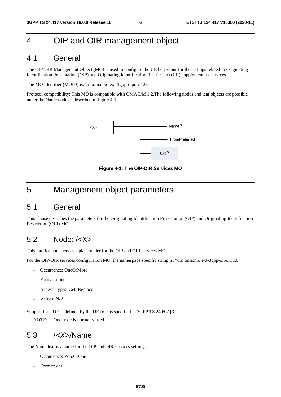## 4 OIP and OIR management object

#### 4.1 General

The OIP-OIR Management Object (MO) is used to configure the UE behaviour for the settings related to Originating Identification Presentation (OIP) and Originating Identification Restriction (OIR) supplementary services.

The MO Identifier (MOID) is: urn:oma:mo:ext-3gpp-oipoir:1.0.

Protocol compatibility: This MO is compatible with OMA DM 1.2.The following nodes and leaf objects are possible under the Name node as described in figure 4-1:



**Figure 4-1: The OIP-OIR Services MO** 

### 5 Management object parameters

#### 5.1 General

This clause describes the parameters for the Originating Identification Presentation (OIP) and Originating Identification Restriction (OIR) MO.

#### 5.2 Node: /<X>

This interior node acts as a placeholder for the OIP and OIR services MO.

For the OIP-OIR services configuration MO, the namespace specific string is: "urn:oma:mo:ext-3gpp-oipoir:1.0"

- Occurrence: OneOrMore
- Format: node
- Access Types: Get, Replace
- Values: N/A

Support for a UE is defined by the UE role as specified in 3GPP TS 24.607 [3].

NOTE: One node is normally used.

#### 5.3 /*<X>*/Name

The Name leaf is a name for the OIP and OIR services settings.

- Occurrence: ZeroOrOne
- Format: chr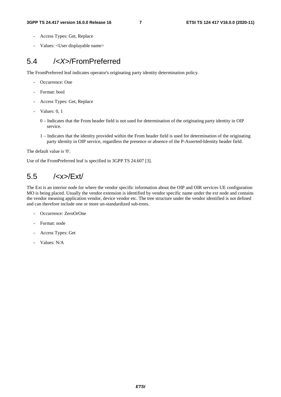- Access Types: Get, Replace
- Values: <User displayable name>

#### 5.4 /*<X>*/FromPreferred

The FromPreferred leaf indicates operator's originating party identity determination policy.

- Occurrence: One
- Format: bool
- Access Types: Get, Replace
- Values: 0, 1
	- 0 Indicates that the From header field is not used for determination of the originating party identity in OIP service.
	- 1 Indicates that the identity provided within the From header field is used for determination of the originating party identity in OIP service, regardless the presence or absence of the P-Asserted-Identity header field.

The default value is '0'.

Use of the FromPreferred leaf is specified in 3GPP TS 24.607 [3].

### 5.5 /<x>/Ext/

The Ext is an interior node for where the vendor specific information about the OIP and OIR services UE configuration MO is being placed. Usually the vendor extension is identified by vendor specific name under the ext node and contains the vendor meaning application vendor, device vendor etc. The tree structure under the vendor identified is not defined and can therefore include one or more un-standardized sub-trees.

- Occurrence: ZeroOrOne
- Format: node
- Access Types: Get
- Values: N/A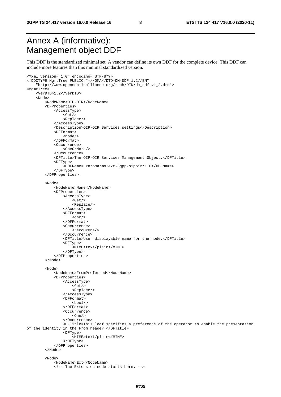**3GPP TS 24.417 version 16.0.0 Release 16 8 ETSI TS 124 417 V16.0.0 (2020-11)**

# Annex A (informative): Management object DDF

This DDF is the standardized minimal set. A vendor can define its own DDF for the complete device. This DDF can include more features than this minimal standardized version.

```
<?xml version="1.0" encoding="UTF-8"?> 
<!DOCTYPE MgmtTree PUBLIC "-//OMA//DTD-DM-DDF 1.2//EN" 
     "http://www.openmobilealliance.org/tech/DTD/dm_ddf-v1_2.dtd"> 
<MgmtTree> 
     <VerDTD>1.2</VerDTD> 
     <Node> 
          <NodeName>OIP-OIR</NodeName> 
          <DFProperties> 
              <AccessType> 
                   <Get/> 
                   <Replace/> 
              </AccessType> 
              <Description>OIP-OIR Services settings</Description> 
              <DFFormat> 
                   <node/> 
              </DFFormat> 
              <Occurrence> 
                   <OneOrMore/> 
              </Occurrence> 
              <DFTitle>The OIP-OIR Services Management Object.</DFTitle> 
              <DFType> 
                   <DDFName>urn:oma:mo:ext-3gpp-oipoir:1.0</DDFName> 
              </DFType> 
          </DFProperties> 
          <Node> 
              <NodeName>Name</NodeName> 
              <DFProperties> 
                   <AccessType> 
                      <Get / <Replace/> 
                   </AccessType> 
                   <DFFormat> 
                      <chr/ </DFFormat> 
                   <Occurrence> 
                       <ZeroOrOne/> 
                   </Occurrence> 
                   <DFTitle>User displayable name for the node.</DFTitle> 
                   <DFType> 
                       <MIME>text/plain</MIME> 
                   </DFType> 
              </DFProperties> 
          </Node> 
          <Node> 
              <NodeName>FromPreferred</NodeName> 
              <DFProperties> 
                   <AccessType> 
                      <Get/> 
                       <Replace/> 
                   </AccessType> 
                   <DFFormat> 
                      <bool/> </DFFormat> 
                   <Occurrence> 
                      <One/>
                   </Occurrence> 
                   <DFTitle>This leaf specifies a preference of the operator to enable the presentation 
of the identity in the From header.</DFTitle> 
                   <DFType> 
                       <MIME>text/plain</MIME> 
                   </DFType> 
              </DFProperties> 
          </Node> 
          <Node> 
              <NodeName>Ext</NodeName> 
              <!-- The Extension node starts here. -->
```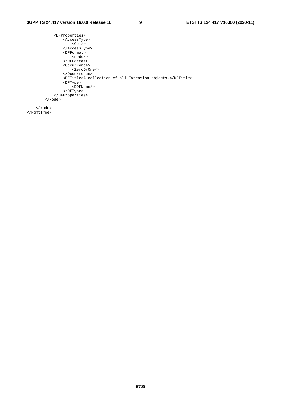```
 <DFProperties> 
         <AccessType> 
            \frac{1}{\text{det}} </AccessType> 
          <DFFormat> 
              <node/> 
          </DFFormat> 
          <Occurrence> 
              <ZeroOrOne/> 
          </Occurrence> 
          <DFTitle>A collection of all Extension objects.</DFTitle> 
          <DFType> 
              <DDFName/> 
          </DFType> 
     </DFProperties> 
 </Node>
```
 </Node> </MgmtTree>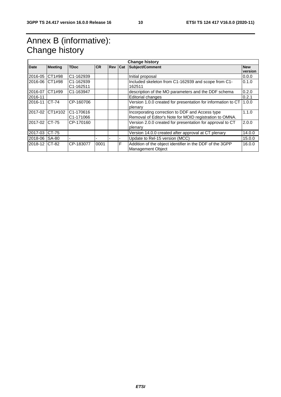# Annex B (informative): Change history

| <b>Change history</b> |                |                        |           |                |   |                                                              |            |  |
|-----------------------|----------------|------------------------|-----------|----------------|---|--------------------------------------------------------------|------------|--|
| <b>Date</b>           | <b>Meeting</b> | <b>TDoc</b>            | <b>CR</b> | <b>Rev Cat</b> |   | <b>Subject/Comment</b>                                       | <b>New</b> |  |
|                       |                |                        |           |                |   |                                                              | version    |  |
| 2016-05               | CT1#98         | C1-162939              |           |                |   | Initial proposal                                             | 0.0.0      |  |
| 2016-06 CT1#98        |                | C1-162939              |           |                |   | Included skeleton from C1-162939 and scope from C1-          | 0.1.0      |  |
|                       |                | C <sub>1</sub> -162511 |           |                |   | 162511                                                       |            |  |
| 2016-07               | CT1#99         | C1-163947              |           |                |   | description of the MO parameters and the DDF schema          | 0.2.0      |  |
| 2016-11               |                |                        |           |                |   | Editorial changes                                            | 0.2.1      |  |
| 2016-11               | $CT-74$        | CP-160706              |           |                |   | Version 1.0.0 created for presentation for information to CT | 1.0.0      |  |
|                       |                |                        |           |                |   | plenary                                                      |            |  |
| 2017-02               | CT1#102        | C1-170616              |           |                |   | Incorporating correction to DDF and Access type              | 1.1.0      |  |
|                       |                | C <sub>1</sub> -171066 |           |                |   | Removal of Editor's Note for MOID registration to OMNA.      |            |  |
| 2017-02               | $CT-75$        | CP-170160              |           |                |   | Version 2.0.0 created for presentation for approval to CT    | 2.0.0      |  |
|                       |                |                        |           |                |   | plenary                                                      |            |  |
| 2017-03               | CT-75          |                        |           |                |   | Version 14.0.0 created after approval at CT plenary          | 14.0.0     |  |
| 2018-06 SA-80         |                |                        |           |                |   | Update to Rel-15 version (MCC)                               | 15.0.0     |  |
| 2018-12 CT-82         |                | CP-183077              | 0001      |                | F | Addition of the object identifier in the DDF of the 3GPP     | 16.0.0     |  |
|                       |                |                        |           |                |   | <b>Management Object</b>                                     |            |  |